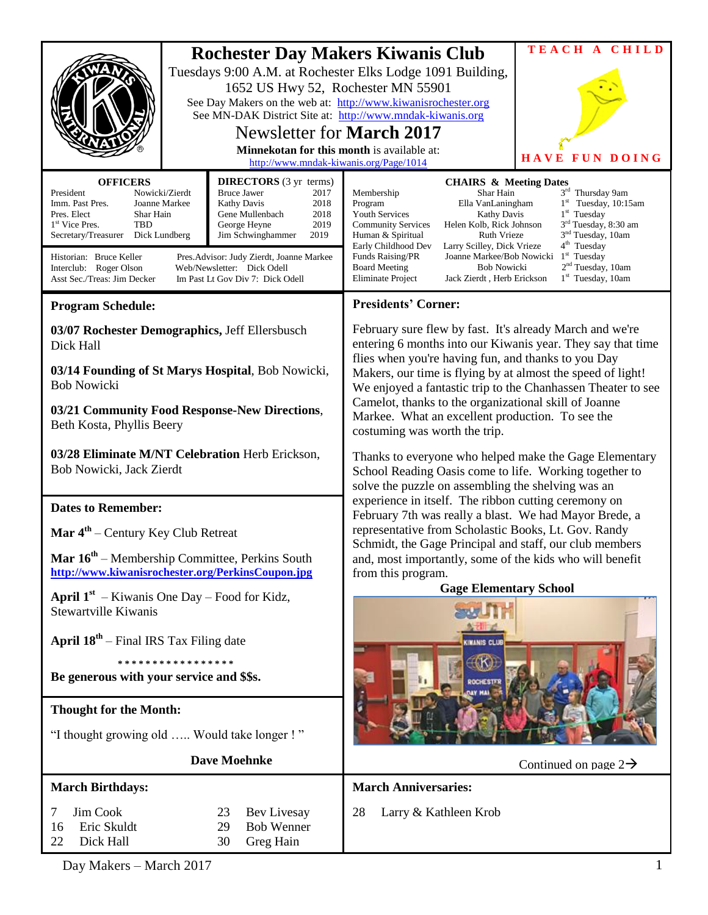|                                                                                                                                                                                                                                                                                                                                                                                                                                                                                                                                                                      |                                                                                                                                                                | TEACH A CHILD                                                                                                                                                                                                                                                                                                                                                                                                                                                                                                                                                                                                                                                                                     |  |
|----------------------------------------------------------------------------------------------------------------------------------------------------------------------------------------------------------------------------------------------------------------------------------------------------------------------------------------------------------------------------------------------------------------------------------------------------------------------------------------------------------------------------------------------------------------------|----------------------------------------------------------------------------------------------------------------------------------------------------------------|---------------------------------------------------------------------------------------------------------------------------------------------------------------------------------------------------------------------------------------------------------------------------------------------------------------------------------------------------------------------------------------------------------------------------------------------------------------------------------------------------------------------------------------------------------------------------------------------------------------------------------------------------------------------------------------------------|--|
|                                                                                                                                                                                                                                                                                                                                                                                                                                                                                                                                                                      | 1652 US Hwy 52, Rochester MN 55901<br>Newsletter for <b>March</b> 2017<br>Minnekotan for this month is available at:<br>http://www.mndak-kiwanis.org/Page/1014 | <b>Rochester Day Makers Kiwanis Club</b><br>Tuesdays 9:00 A.M. at Rochester Elks Lodge 1091 Building,<br>See Day Makers on the web at: http://www.kiwanisrochester.org<br>See MN-DAK District Site at: http://www.mndak-kiwanis.org<br>HAVE<br>UN DOING<br>F                                                                                                                                                                                                                                                                                                                                                                                                                                      |  |
| <b>OFFICERS</b><br><b>DIRECTORS</b> (3 yr terms)<br>Nowicki/Zierdt<br>President<br>Bruce Jawer<br>2017<br>Imm. Past Pres.<br>Joanne Markee<br><b>Kathy Davis</b><br>2018<br>Pres. Elect<br>Shar Hain<br>Gene Mullenbach<br>2018<br>TBD<br>2019<br>1 <sup>st</sup> Vice Pres.<br>George Heyne<br>Secretary/Treasurer<br>Jim Schwinghammer<br>2019<br>Dick Lundberg<br>Historian: Bruce Keller<br>Pres. Advisor: Judy Zierdt, Joanne Markee<br>Web/Newsletter: Dick Odell<br>Interclub: Roger Olson<br>Asst Sec./Treas: Jim Decker<br>Im Past Lt Gov Div 7: Dick Odell |                                                                                                                                                                | <b>CHAIRS &amp; Meeting Dates</b><br>3rd Thursday 9am<br>Membership<br>Shar Hain<br>$1st$ Tuesday, 10:15am<br>Program<br>Ella VanLaningham<br>$1st$ Tuesday<br><b>Youth Services</b><br>Kathy Davis<br>3 <sup>rd</sup> Tuesday, 8:30 am<br><b>Community Services</b><br>Helen Kolb, Rick Johnson<br>3 <sup>nd</sup> Tuesday, 10am<br>Human & Spiritual<br><b>Ruth Vrieze</b><br>4 <sup>th</sup> Tuesday<br>Early Childhood Dev<br>Larry Scilley, Dick Vrieze<br>$1st$ Tuesday<br>Funds Raising/PR<br>Joanne Markee/Bob Nowicki<br>2 <sup>nd</sup> Tuesday, 10am<br><b>Bob Nowicki</b><br><b>Board Meeting</b><br>1 <sup>st</sup> Tuesday, 10am<br>Eliminate Project<br>Jack Zierdt, Herb Erickson |  |
| <b>Program Schedule:</b>                                                                                                                                                                                                                                                                                                                                                                                                                                                                                                                                             |                                                                                                                                                                | <b>Presidents' Corner:</b>                                                                                                                                                                                                                                                                                                                                                                                                                                                                                                                                                                                                                                                                        |  |
| 03/07 Rochester Demographics, Jeff Ellersbusch<br>Dick Hall                                                                                                                                                                                                                                                                                                                                                                                                                                                                                                          |                                                                                                                                                                | February sure flew by fast. It's already March and we're<br>entering 6 months into our Kiwanis year. They say that time<br>flies when you're having fun, and thanks to you Day                                                                                                                                                                                                                                                                                                                                                                                                                                                                                                                    |  |
| 03/14 Founding of St Marys Hospital, Bob Nowicki,<br><b>Bob Nowicki</b>                                                                                                                                                                                                                                                                                                                                                                                                                                                                                              |                                                                                                                                                                | Makers, our time is flying by at almost the speed of light!<br>We enjoyed a fantastic trip to the Chanhassen Theater to see                                                                                                                                                                                                                                                                                                                                                                                                                                                                                                                                                                       |  |
| 03/21 Community Food Response-New Directions,<br>Beth Kosta, Phyllis Beery                                                                                                                                                                                                                                                                                                                                                                                                                                                                                           |                                                                                                                                                                | Camelot, thanks to the organizational skill of Joanne<br>Markee. What an excellent production. To see the<br>costuming was worth the trip.                                                                                                                                                                                                                                                                                                                                                                                                                                                                                                                                                        |  |
| 03/28 Eliminate M/NT Celebration Herb Erickson,<br>Bob Nowicki, Jack Zierdt                                                                                                                                                                                                                                                                                                                                                                                                                                                                                          |                                                                                                                                                                | Thanks to everyone who helped make the Gage Elementary<br>School Reading Oasis come to life. Working together to<br>solve the puzzle on assembling the shelving was an                                                                                                                                                                                                                                                                                                                                                                                                                                                                                                                            |  |
| <b>Dates to Remember:</b>                                                                                                                                                                                                                                                                                                                                                                                                                                                                                                                                            |                                                                                                                                                                | experience in itself. The ribbon cutting ceremony on<br>February 7th was really a blast. We had Mayor Brede, a                                                                                                                                                                                                                                                                                                                                                                                                                                                                                                                                                                                    |  |
| <b>Mar <math>4^{\text{th}}</math></b> – Century Key Club Retreat                                                                                                                                                                                                                                                                                                                                                                                                                                                                                                     |                                                                                                                                                                | representative from Scholastic Books, Lt. Gov. Randy                                                                                                                                                                                                                                                                                                                                                                                                                                                                                                                                                                                                                                              |  |
| Mar 16 <sup>th</sup> – Membership Committee, Perkins South<br>http://www.kiwanisrochester.org/PerkinsCoupon.jpg                                                                                                                                                                                                                                                                                                                                                                                                                                                      |                                                                                                                                                                | Schmidt, the Gage Principal and staff, our club members<br>and, most importantly, some of the kids who will benefit<br>from this program.                                                                                                                                                                                                                                                                                                                                                                                                                                                                                                                                                         |  |
| <b>April 1st</b> – Kiwanis One Day – Food for Kidz,                                                                                                                                                                                                                                                                                                                                                                                                                                                                                                                  |                                                                                                                                                                | <b>Gage Elementary School</b>                                                                                                                                                                                                                                                                                                                                                                                                                                                                                                                                                                                                                                                                     |  |
| <b>Stewartville Kiwanis</b>                                                                                                                                                                                                                                                                                                                                                                                                                                                                                                                                          |                                                                                                                                                                |                                                                                                                                                                                                                                                                                                                                                                                                                                                                                                                                                                                                                                                                                                   |  |
| <b>April <math>18^{th}</math></b> – Final IRS Tax Filing date                                                                                                                                                                                                                                                                                                                                                                                                                                                                                                        |                                                                                                                                                                | <b>WANIS CLU</b>                                                                                                                                                                                                                                                                                                                                                                                                                                                                                                                                                                                                                                                                                  |  |
| * * * * * * * * * * * * * * * * * *<br>Be generous with your service and \$\$s.                                                                                                                                                                                                                                                                                                                                                                                                                                                                                      |                                                                                                                                                                |                                                                                                                                                                                                                                                                                                                                                                                                                                                                                                                                                                                                                                                                                                   |  |
| <b>Thought for the Month:</b>                                                                                                                                                                                                                                                                                                                                                                                                                                                                                                                                        |                                                                                                                                                                |                                                                                                                                                                                                                                                                                                                                                                                                                                                                                                                                                                                                                                                                                                   |  |
| "I thought growing old  Would take longer !"                                                                                                                                                                                                                                                                                                                                                                                                                                                                                                                         |                                                                                                                                                                |                                                                                                                                                                                                                                                                                                                                                                                                                                                                                                                                                                                                                                                                                                   |  |
| <b>Dave Moehnke</b>                                                                                                                                                                                                                                                                                                                                                                                                                                                                                                                                                  |                                                                                                                                                                | Continued on page $2\rightarrow$                                                                                                                                                                                                                                                                                                                                                                                                                                                                                                                                                                                                                                                                  |  |
| <b>March Birthdays:</b>                                                                                                                                                                                                                                                                                                                                                                                                                                                                                                                                              |                                                                                                                                                                | <b>March Anniversaries:</b>                                                                                                                                                                                                                                                                                                                                                                                                                                                                                                                                                                                                                                                                       |  |
| Jim Cook<br>7<br>Eric Skuldt<br>16<br>Dick Hall<br>22                                                                                                                                                                                                                                                                                                                                                                                                                                                                                                                | Bev Livesay<br>23<br>29<br><b>Bob Wenner</b><br>Greg Hain<br>30                                                                                                | 28<br>Larry & Kathleen Krob                                                                                                                                                                                                                                                                                                                                                                                                                                                                                                                                                                                                                                                                       |  |

Day Makers – March 2017 1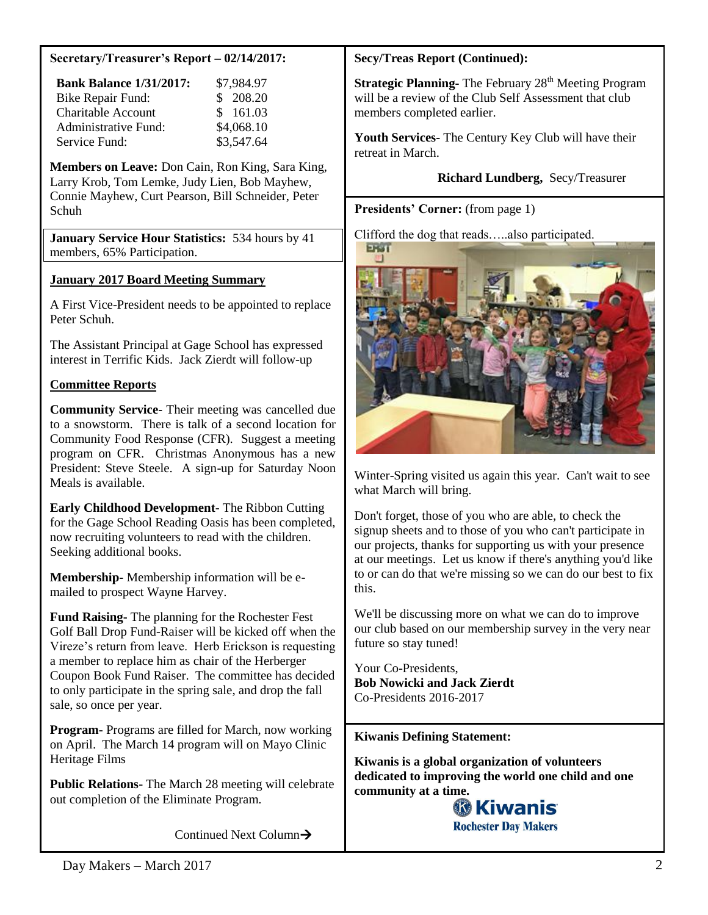### **Secretary/Treasurer's Report – 02/14/2017:**

| <b>Bank Balance 1/31/2017:</b> | \$7,984.97 |
|--------------------------------|------------|
| <b>Bike Repair Fund:</b>       | \$ 208.20  |
| <b>Charitable Account</b>      | \$161.03   |
| <b>Administrative Fund:</b>    | \$4,068.10 |
| Service Fund:                  | \$3,547.64 |

**Members on Leave:** Don Cain, Ron King, Sara King, Larry Krob, Tom Lemke, Judy Lien, Bob Mayhew, Connie Mayhew, Curt Pearson, Bill Schneider, Peter Schuh

**January Service Hour Statistics:** 534 hours by 41 members, 65% Participation.

### **January 2017 Board Meeting Summary**

A First Vice-President needs to be appointed to replace Peter Schuh.

The Assistant Principal at Gage School has expressed interest in Terrific Kids. Jack Zierdt will follow-up

### **Committee Reports**

**Community Service-** Their meeting was cancelled due to a snowstorm. There is talk of a second location for Community Food Response (CFR). Suggest a meeting program on CFR. Christmas Anonymous has a new President: Steve Steele. A sign-up for Saturday Noon Meals is available.

**Early Childhood Development-** The Ribbon Cutting for the Gage School Reading Oasis has been completed, now recruiting volunteers to read with the children. Seeking additional books.

**Membership-** Membership information will be emailed to prospect Wayne Harvey.

**Fund Raising-** The planning for the Rochester Fest Golf Ball Drop Fund-Raiser will be kicked off when the Vireze's return from leave. Herb Erickson is requesting a member to replace him as chair of the Herberger Coupon Book Fund Raiser. The committee has decided to only participate in the spring sale, and drop the fall sale, so once per year.

**Program-** Programs are filled for March, now working on April. The March 14 program will on Mayo Clinic Heritage Films

**Public Relations**- The March 28 meeting will celebrate out completion of the Eliminate Program.

Continued Next Column

### **Secy/Treas Report (Continued):**

**Strategic Planning-** The February 28<sup>th</sup> Meeting Program will be a review of the Club Self Assessment that club members completed earlier.

**Youth Services-** The Century Key Club will have their retreat in March.

## **Richard Lundberg,** Secy/Treasurer

#### **Presidents' Corner:** (from page 1)

Clifford the dog that reads…..also participated.



Winter-Spring visited us again this year. Can't wait to see what March will bring.

Don't forget, those of you who are able, to check the signup sheets and to those of you who can't participate in our projects, thanks for supporting us with your presence at our meetings. Let us know if there's anything you'd like to or can do that we're missing so we can do our best to fix this.

We'll be discussing more on what we can do to improve our club based on our membership survey in the very near future so stay tuned!

Your Co-Presidents, **Bob Nowicki and Jack Zierdt**  Co-Presidents 2016-2017

#### **Kiwanis Defining Statement:**

**Kiwanis is a global organization of volunteers dedicated to improving the world one child and one community at a time.**

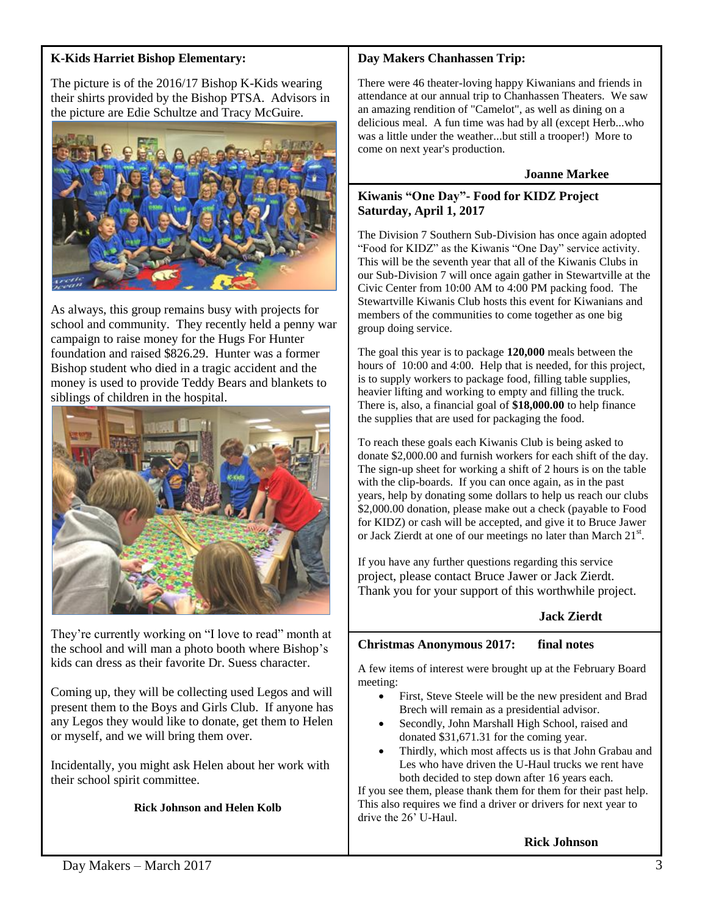## **K-Kids Harriet Bishop Elementary:**

The picture is of the 2016/17 Bishop K-Kids wearing their shirts provided by the Bishop PTSA. Advisors in the picture are Edie Schultze and Tracy McGuire.



As always, this group remains busy with projects for school and community. They recently held a penny war campaign to raise money for the Hugs For Hunter foundation and raised \$826.29. Hunter was a former Bishop student who died in a tragic accident and the money is used to provide Teddy Bears and blankets to siblings of children in the hospital.



They're currently working on "I love to read" month at the school and will man a photo booth where Bishop's kids can dress as their favorite Dr. Suess character.

Coming up, they will be collecting used Legos and will present them to the Boys and Girls Club. If anyone has any Legos they would like to donate, get them to Helen or myself, and we will bring them over.

Incidentally, you might ask Helen about her work with their school spirit committee.

## **Rick Johnson and Helen Kolb**

### **Day Makers Chanhassen Trip:**

There were 46 theater-loving happy Kiwanians and friends in attendance at our annual trip to Chanhassen Theaters. We saw an amazing rendition of "Camelot", as well as dining on a delicious meal. A fun time was had by all (except Herb...who was a little under the weather...but still a trooper!) More to come on next year's production.

#### **Joanne Markee**

### **Kiwanis "One Day"- Food for KIDZ Project Saturday, April 1, 2017**

The Division 7 Southern Sub-Division has once again adopted "Food for KIDZ" as the Kiwanis "One Day" service activity. This will be the seventh year that all of the Kiwanis Clubs in our Sub-Division 7 will once again gather in Stewartville at the Civic Center from 10:00 AM to 4:00 PM packing food. The Stewartville Kiwanis Club hosts this event for Kiwanians and members of the communities to come together as one big group doing service.

The goal this year is to package **120,000** meals between the hours of 10:00 and 4:00. Help that is needed, for this project, is to supply workers to package food, filling table supplies, heavier lifting and working to empty and filling the truck. There is, also, a financial goal of **\$18,000.00** to help finance the supplies that are used for packaging the food.

To reach these goals each Kiwanis Club is being asked to donate \$2,000.00 and furnish workers for each shift of the day. The sign-up sheet for working a shift of 2 hours is on the table with the clip-boards. If you can once again, as in the past years, help by donating some dollars to help us reach our clubs \$2,000.00 donation, please make out a check (payable to Food for KIDZ) or cash will be accepted, and give it to Bruce Jawer or Jack Zierdt at one of our meetings no later than March 21st.

If you have any further questions regarding this service project, please contact Bruce Jawer or Jack Zierdt. Thank you for your support of this worthwhile project.

## **Jack Zierdt**

## **Christmas Anonymous 2017: final notes**

A few items of interest were brought up at the February Board meeting:

- First, Steve Steele will be the new president and Brad Brech will remain as a presidential advisor.
- Secondly, John Marshall High School, raised and donated \$31,671.31 for the coming year.
- Thirdly, which most affects us is that John Grabau and Les who have driven the U-Haul trucks we rent have both decided to step down after 16 years each.

If you see them, please thank them for them for their past help. This also requires we find a driver or drivers for next year to drive the 26' U-Haul.

**Rick Johnson**